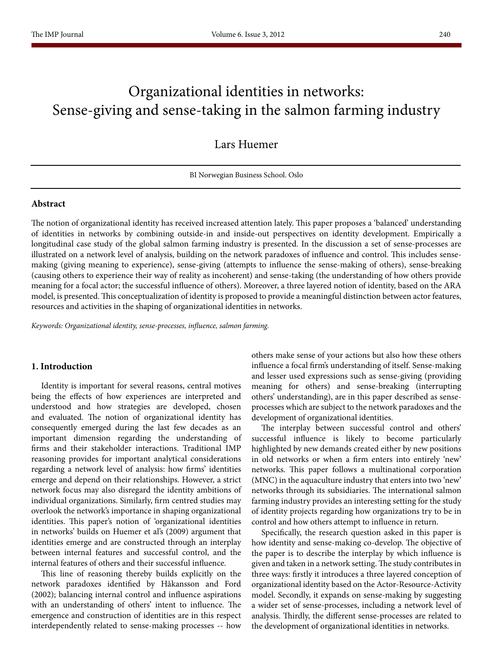# Organizational identities in networks: Sense-giving and sense-taking in the salmon farming industry

Lars Huemer

BI Norwegian Business School. Oslo

#### **Abstract**

The notion of organizational identity has received increased attention lately. This paper proposes a 'balanced' understanding of identities in networks by combining outside-in and inside-out perspectives on identity development. Empirically a longitudinal case study of the global salmon farming industry is presented. In the discussion a set of sense-processes are illustrated on a network level of analysis, building on the network paradoxes of influence and control. This includes sensemaking (giving meaning to experience), sense-giving (attempts to influence the sense-making of others), sense-breaking (causing others to experience their way of reality as incoherent) and sense-taking (the understanding of how others provide meaning for a focal actor; the successful influence of others). Moreover, a three layered notion of identity, based on the ARA model, is presented. This conceptualization of identity is proposed to provide a meaningful distinction between actor features, resources and activities in the shaping of organizational identities in networks.

*Keywords: Organizational identity, sense-processes, influence, salmon farming.*

#### **1. Introduction**

Identity is important for several reasons, central motives being the effects of how experiences are interpreted and understood and how strategies are developed, chosen and evaluated. The notion of organizational identity has consequently emerged during the last few decades as an important dimension regarding the understanding of firms and their stakeholder interactions. Traditional IMP reasoning provides for important analytical considerations regarding a network level of analysis: how firms' identities emerge and depend on their relationships. However, a strict network focus may also disregard the identity ambitions of individual organizations. Similarly, firm centred studies may overlook the network's importance in shaping organizational identities. This paper's notion of 'organizational identities in networks' builds on Huemer et al's (2009) argument that identities emerge and are constructed through an interplay between internal features and successful control, and the internal features of others and their successful influence.

This line of reasoning thereby builds explicitly on the network paradoxes identified by Håkansson and Ford (2002); balancing internal control and influence aspirations with an understanding of others' intent to influence. The emergence and construction of identities are in this respect interdependently related to sense-making processes -- how others make sense of your actions but also how these others influence a focal firm's understanding of itself. Sense-making and lesser used expressions such as sense-giving (providing meaning for others) and sense-breaking (interrupting others' understanding), are in this paper described as senseprocesses which are subject to the network paradoxes and the development of organizational identities.

The interplay between successful control and others' successful influence is likely to become particularly highlighted by new demands created either by new positions in old networks or when a firm enters into entirely 'new' networks. This paper follows a multinational corporation (MNC) in the aquaculture industry that enters into two 'new' networks through its subsidiaries. The international salmon farming industry provides an interesting setting for the study of identity projects regarding how organizations try to be in control and how others attempt to influence in return.

Specifically, the research question asked in this paper is how identity and sense-making co-develop. The objective of the paper is to describe the interplay by which influence is given and taken in a network setting. The study contributes in three ways: firstly it introduces a three layered conception of organizational identity based on the Actor-Resource-Activity model. Secondly, it expands on sense-making by suggesting a wider set of sense-processes, including a network level of analysis. Thirdly, the different sense-processes are related to the development of organizational identities in networks.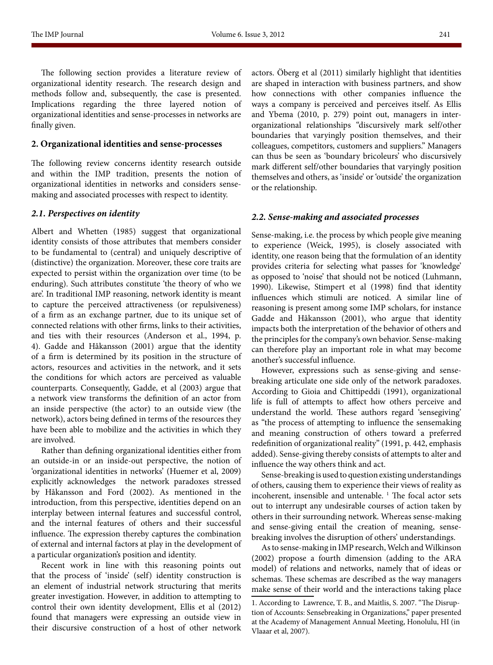The following section provides a literature review of organizational identity research. The research design and methods follow and, subsequently, the case is presented. Implications regarding the three layered notion of organizational identities and sense-processes in networks are finally given.

#### **2. Organizational identities and sense-processes**

The following review concerns identity research outside and within the IMP tradition, presents the notion of organizational identities in networks and considers sensemaking and associated processes with respect to identity.

#### *2.1. Perspectives on identity*

Albert and Whetten (1985) suggest that organizational identity consists of those attributes that members consider to be fundamental to (central) and uniquely descriptive of (distinctive) the organization. Moreover, these core traits are expected to persist within the organization over time (to be enduring). Such attributes constitute 'the theory of who we are'. In traditional IMP reasoning, network identity is meant to capture the perceived attractiveness (or repulsiveness) of a firm as an exchange partner, due to its unique set of connected relations with other firms, links to their activities, and ties with their resources (Anderson et al., 1994, p. 4). Gadde and Håkansson (2001) argue that the identity of a firm is determined by its position in the structure of actors, resources and activities in the network, and it sets the conditions for which actors are perceived as valuable counterparts. Consequently, Gadde, et al (2003) argue that a network view transforms the definition of an actor from an inside perspective (the actor) to an outside view (the network), actors being defined in terms of the resources they have been able to mobilize and the activities in which they are involved.

Rather than defining organizational identities either from an outside-in or an inside-out perspective, the notion of 'organizational identities in networks' (Huemer et al, 2009) explicitly acknowledges the network paradoxes stressed by Håkansson and Ford (2002). As mentioned in the introduction, from this perspective, identities depend on an interplay between internal features and successful control, and the internal features of others and their successful influence. The expression thereby captures the combination of external and internal factors at play in the development of a particular organization's position and identity.

Recent work in line with this reasoning points out that the process of 'inside' (self) identity construction is an element of industrial network structuring that merits greater investigation. However, in addition to attempting to control their own identity development, Ellis et al (2012) found that managers were expressing an outside view in their discursive construction of a host of other network actors. Öberg et al (2011) similarly highlight that identities are shaped in interaction with business partners, and show how connections with other companies influence the ways a company is perceived and perceives itself. As Ellis and Ybema (2010, p. 279) point out, managers in interorganizational relationships "discursively mark self/other boundaries that varyingly position themselves, and their colleagues, competitors, customers and suppliers." Managers can thus be seen as 'boundary bricoleurs' who discursively mark different self/other boundaries that varyingly position themselves and others, as 'inside' or 'outside' the organization or the relationship.

#### *2.2. Sense-making and associated processes*

Sense-making, i.e. the process by which people give meaning to experience (Weick, 1995), is closely associated with identity, one reason being that the formulation of an identity provides criteria for selecting what passes for 'knowledge' as opposed to 'noise' that should not be noticed (Luhmann, 1990). Likewise, Stimpert et al (1998) find that identity influences which stimuli are noticed. A similar line of reasoning is present among some IMP scholars, for instance Gadde and Håkansson (2001), who argue that identity impacts both the interpretation of the behavior of others and the principles for the company's own behavior. Sense-making can therefore play an important role in what may become another's successful influence.

However, expressions such as sense-giving and sensebreaking articulate one side only of the network paradoxes. According to Gioia and Chittipeddi (1991), organizational life is full of attempts to affect how others perceive and understand the world. These authors regard 'sensegiving' as "the process of attempting to influence the sensemaking and meaning construction of others toward a preferred redefinition of organizational reality" (1991, p. 442, emphasis added). Sense-giving thereby consists of attempts to alter and influence the way others think and act.

Sense-breaking is used to question existing understandings of others, causing them to experience their views of reality as incoherent, insensible and untenable.<sup>1</sup> The focal actor sets out to interrupt any undesirable courses of action taken by others in their surrounding network. Whereas sense-making and sense-giving entail the creation of meaning, sensebreaking involves the disruption of others' understandings.

As to sense-making in IMP research, Welch and Wilkinson (2002) propose a fourth dimension (adding to the ARA model) of relations and networks, namely that of ideas or schemas. These schemas are described as the way managers make sense of their world and the interactions taking place

<sup>1.</sup> According to Lawrence, T. B., and Maitlis, S. 2007. "The Disruption of Accounts: Sensebreaking in Organizations," paper presented at the Academy of Management Annual Meeting, Honolulu, HI (in Vlaaar et al, 2007).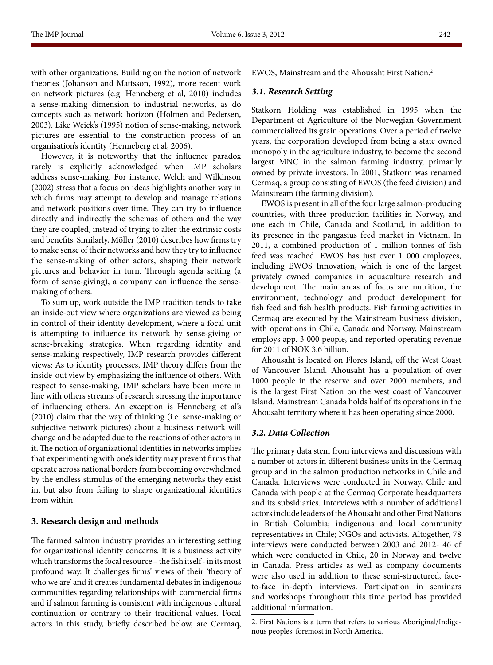with other organizations. Building on the notion of network theories (Johanson and Mattsson, 1992), more recent work on network pictures (e.g. Henneberg et al, 2010) includes a sense-making dimension to industrial networks, as do concepts such as network horizon (Holmen and Pedersen, 2003). Like Weick's (1995) notion of sense-making, network pictures are essential to the construction process of an organisation's identity (Henneberg et al, 2006).

However, it is noteworthy that the influence paradox rarely is explicitly acknowledged when IMP scholars address sense-making. For instance, Welch and Wilkinson (2002) stress that a focus on ideas highlights another way in which firms may attempt to develop and manage relations and network positions over time. They can try to influence directly and indirectly the schemas of others and the way they are coupled, instead of trying to alter the extrinsic costs and benefits. Similarly, Möller (2010) describes how firms try to make sense of their networks and how they try to influence the sense-making of other actors, shaping their network pictures and behavior in turn. Through agenda setting (a form of sense-giving), a company can influence the sensemaking of others.

To sum up, work outside the IMP tradition tends to take an inside-out view where organizations are viewed as being in control of their identity development, where a focal unit is attempting to influence its network by sense-giving or sense-breaking strategies. When regarding identity and sense-making respectively, IMP research provides different views: As to identity processes, IMP theory differs from the inside-out view by emphasizing the influence of others. With respect to sense-making, IMP scholars have been more in line with others streams of research stressing the importance of influencing others. An exception is Henneberg et al's (2010) claim that the way of thinking (i.e. sense-making or subjective network pictures) about a business network will change and be adapted due to the reactions of other actors in it. The notion of organizational identities in networks implies that experimenting with one's identity may prevent firms that operate across national borders from becoming overwhelmed by the endless stimulus of the emerging networks they exist in, but also from failing to shape organizational identities from within.

### **3. Research design and methods**

The farmed salmon industry provides an interesting setting for organizational identity concerns. It is a business activity which transforms the focal resource – the fish itself - in its most profound way. It challenges firms' views of their 'theory of who we are' and it creates fundamental debates in indigenous communities regarding relationships with commercial firms and if salmon farming is consistent with indigenous cultural continuation or contrary to their traditional values. Focal actors in this study, briefly described below, are Cermaq,

EWOS, Mainstream and the Ahousaht First Nation.2

# *3.1. Research Setting*

Statkorn Holding was established in 1995 when the Department of Agriculture of the Norwegian Government commercialized its grain operations. Over a period of twelve years, the corporation developed from being a state owned monopoly in the agriculture industry, to become the second largest MNC in the salmon farming industry, primarily owned by private investors. In 2001, Statkorn was renamed Cermaq, a group consisting of EWOS (the feed division) and Mainstream (the farming division).

EWOS is present in all of the four large salmon-producing countries, with three production facilities in Norway, and one each in Chile, Canada and Scotland, in addition to its presence in the pangasius feed market in Vietnam. In 2011, a combined production of 1 million tonnes of fish feed was reached. EWOS has just over 1 000 employees, including EWOS Innovation, which is one of the largest privately owned companies in aquaculture research and development. The main areas of focus are nutrition, the environment, technology and product development for fish feed and fish health products. Fish farming activities in Cermaq are executed by the Mainstream business division, with operations in Chile, Canada and Norway. Mainstream employs app. 3 000 people, and reported operating revenue for 2011 of NOK 3.6 billion.

Ahousaht is located on Flores Island, off the West Coast of Vancouver Island. Ahousaht has a population of over 1000 people in the reserve and over 2000 members, and is the largest First Nation on the west coast of Vancouver Island. Mainstream Canada holds half of its operations in the Ahousaht territory where it has been operating since 2000.

# *3.2. Data Collection*

The primary data stem from interviews and discussions with a number of actors in different business units in the Cermaq group and in the salmon production networks in Chile and Canada. Interviews were conducted in Norway, Chile and Canada with people at the Cermaq Corporate headquarters and its subsidiaries. Interviews with a number of additional actors include leaders of the Ahousaht and other First Nations in British Columbia; indigenous and local community representatives in Chile; NGOs and activists. Altogether, 78 interviews were conducted between 2003 and 2012- 46 of which were conducted in Chile, 20 in Norway and twelve in Canada. Press articles as well as company documents were also used in addition to these semi-structured, faceto-face in-depth interviews. Participation in seminars and workshops throughout this time period has provided additional information.

<sup>2.</sup> First Nations is a term that refers to various Aboriginal/Indigenous peoples, foremost in North America.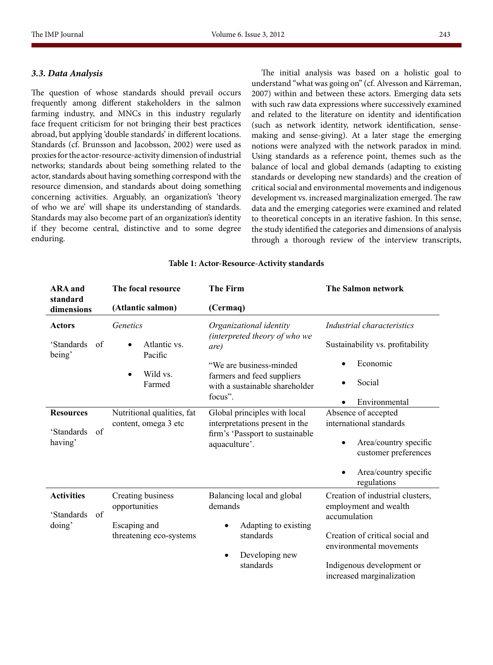#### *3.3. Data Analysis*

The question of whose standards should prevail occurs frequently among different stakeholders in the salmon farming industry, and MNCs in this industry regularly face frequent criticism for not bringing their best practices abroad, but applying 'double standards' in different locations. Standards (cf. Brunsson and Jacobsson, 2002) were used as proxies for the actor-resource-activity dimension of industrial networks; standards about being something related to the actor, standards about having something correspond with the resource dimension, and standards about doing something concerning activities. Arguably, an organization's 'theory of who we are' will shape its understanding of standards. Standards may also become part of an organization's identity if they become central, distinctive and to some degree enduring.

The initial analysis was based on a holistic goal to understand "what was going on" (cf. Alvesson and Kärreman, 2007) within and between these actors. Emerging data sets with such raw data expressions where successively examined and related to the literature on identity and identification (such as network identity, network identification, sensemaking and sense-giving). At a later stage the emerging notions were analyzed with the network paradox in mind. Using standards as a reference point, themes such as the balance of local and global demands (adapting to existing standards or developing new standards) and the creation of critical social and environmental movements and indigenous development vs. increased marginalization emerged. The raw data and the emerging categories were examined and related to theoretical concepts in an iterative fashion. In this sense, the study identified the categories and dimensions of analysis through a thorough review of the interview transcripts,

#### **ARA and standard dimensions The focal resource (Atlantic salmon) The Firm (Cermaq) The Salmon network Actors**  'Standards of being' *Genetics* • Atlantic vs. Pacific • Wild vs. Farmed *Organizational identity (interpreted theory of who we are)*  "We are business-minded farmers and feed suppliers with a sustainable shareholder focus". *Industrial characteristics*  Sustainability vs. profitability Economic **Social** • Environmental **Resources**  'Standards of having' Nutritional qualities, fat content, omega 3 etc Global principles with local interpretations present in the firm's 'Passport to sustainable aquaculture'. Absence of accepted international standards Area/country specific customer preferences Area/country specific regulations **Activities** 'Standards of doing' Creating business opportunities Escaping and threatening eco-systems Balancing local and global demands Adapting to existing standards Developing new standards Creation of industrial clusters, employment and wealth accumulation Creation of critical social and environmental movements Indigenous development or increased marginalization

#### **Table 1: Actor-Resource-Activity standards**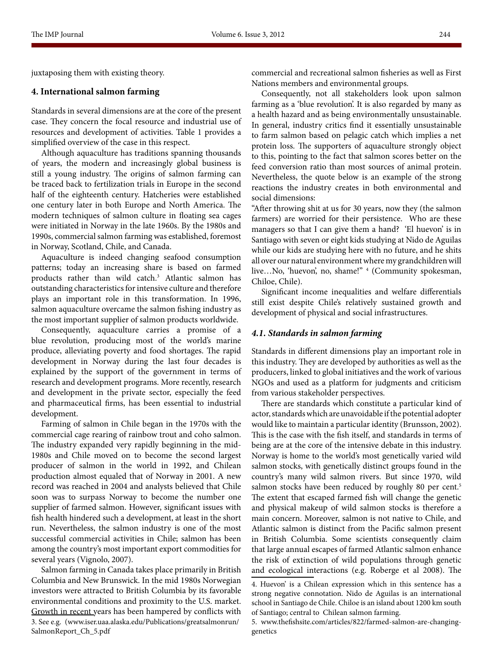juxtaposing them with existing theory.

# **4. International salmon farming**

Standards in several dimensions are at the core of the present case. They concern the focal resource and industrial use of resources and development of activities. Table 1 provides a simplified overview of the case in this respect.

Although aquaculture has traditions spanning thousands of years, the modern and increasingly global business is still a young industry. The origins of salmon farming can be traced back to fertilization trials in Europe in the second half of the eighteenth century. Hatcheries were established one century later in both Europe and North America. The modern techniques of salmon culture in floating sea cages were initiated in Norway in the late 1960s. By the 1980s and 1990s, commercial salmon farming was established, foremost in Norway, Scotland, Chile, and Canada.

Aquaculture is indeed changing seafood consumption patterns; today an increasing share is based on farmed products rather than wild catch.3 Atlantic salmon has outstanding characteristics for intensive culture and therefore plays an important role in this transformation. In 1996, salmon aquaculture overcame the salmon fishing industry as the most important supplier of salmon products worldwide.

Consequently, aquaculture carries a promise of a blue revolution, producing most of the world's marine produce, alleviating poverty and food shortages. The rapid development in Norway during the last four decades is explained by the support of the government in terms of research and development programs. More recently, research and development in the private sector, especially the feed and pharmaceutical firms, has been essential to industrial development.

Farming of salmon in Chile began in the 1970s with the commercial cage rearing of rainbow trout and coho salmon. The industry expanded very rapidly beginning in the mid-1980s and Chile moved on to become the second largest producer of salmon in the world in 1992, and Chilean production almost equaled that of Norway in 2001. A new record was reached in 2004 and analysts believed that Chile soon was to surpass Norway to become the number one supplier of farmed salmon. However, significant issues with fish health hindered such a development, at least in the short run. Nevertheless, the salmon industry is one of the most successful commercial activities in Chile; salmon has been among the country's most important export commodities for several years (Vignolo, 2007).

Salmon farming in Canada takes place primarily in British Columbia and New Brunswick. In the mid 1980s Norwegian investors were attracted to British Columbia by its favorable environmental conditions and proximity to the U.S. market. Growth in recent years has been hampered by conflicts with 3. See e.g. (www.iser.uaa.alaska.edu/Publications/greatsalmonrun/ SalmonReport\_Ch\_5.pdf

commercial and recreational salmon fisheries as well as First Nations members and environmental groups.

Consequently, not all stakeholders look upon salmon farming as a 'blue revolution'. It is also regarded by many as a health hazard and as being environmentally unsustainable. In general, industry critics find it essentially unsustainable to farm salmon based on pelagic catch which implies a net protein loss. The supporters of aquaculture strongly object to this, pointing to the fact that salmon scores better on the feed conversion ratio than most sources of animal protein. Nevertheless, the quote below is an example of the strong reactions the industry creates in both environmental and social dimensions:

"After throwing shit at us for 30 years, now they (the salmon farmers) are worried for their persistence. Who are these managers so that I can give them a hand? 'El huevon' is in Santiago with seven or eight kids studying at Nido de Aguilas while our kids are studying here with no future, and he shits all over our natural environment where my grandchildren will live…No, 'huevon', no, shame!" 4 (Community spokesman, Chiloe, Chile).

Significant income inequalities and welfare differentials still exist despite Chile's relatively sustained growth and development of physical and social infrastructures.

#### *4.1. Standards in salmon farming*

Standards in different dimensions play an important role in this industry. They are developed by authorities as well as the producers, linked to global initiatives and the work of various NGOs and used as a platform for judgments and criticism from various stakeholder perspectives.

There are standards which constitute a particular kind of actor, standards which are unavoidable if the potential adopter would like to maintain a particular identity (Brunsson, 2002). This is the case with the fish itself, and standards in terms of being are at the core of the intensive debate in this industry. Norway is home to the world's most genetically varied wild salmon stocks, with genetically distinct groups found in the country's many wild salmon rivers. But since 1970, wild salmon stocks have been reduced by roughly 80 per cent.<sup>5</sup> The extent that escaped farmed fish will change the genetic and physical makeup of wild salmon stocks is therefore a main concern. Moreover, salmon is not native to Chile, and Atlantic salmon is distinct from the Pacific salmon present in British Columbia. Some scientists consequently claim that large annual escapes of farmed Atlantic salmon enhance the risk of extinction of wild populations through genetic and ecological interactions (e.g. Roberge et al 2008). The

<sup>4.</sup> Huevon' is a Chilean expression which in this sentence has a strong negative connotation. Nido de Aguilas is an international school in Santiago de Chile. Chiloe is an island about 1200 km south of Santiago; central to Chilean salmon farming.

<sup>5.</sup> www.thefishsite.com/articles/822/farmed-salmon-are-changinggenetics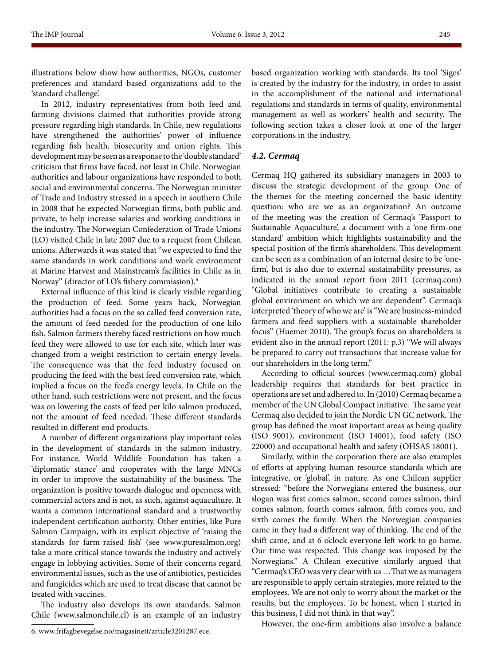illustrations below show how authorities, NGOs, customer preferences and standard based organizations add to the 'standard challenge'.

In 2012, industry representatives from both feed and farming divisions claimed that authorities provide strong pressure regarding high standards. In Chile, new regulations have strengthened the authorities' power of influence regarding fish health, biosecurity and union rights. This development may be seen as a response to the 'double standard' criticism that firms have faced, not least in Chile. Norwegian authorities and labour organizations have responded to both social and environmental concerns. The Norwegian minister of Trade and Industry stressed in a speech in southern Chile in 2008 that he expected Norwegian firms, both public and private, to help increase salaries and working conditions in the industry. The Norwegian Confederation of Trade Unions (LO) visited Chile in late 2007 due to a request from Chilean unions. Afterwards it was stated that "we expected to find the same standards in work conditions and work environment at Marine Harvest and Mainstream's facilities in Chile as in Norway" (director of LO's fishery commission).6

External influence of this kind is clearly visible regarding the production of feed. Some years back, Norwegian authorities had a focus on the so called feed conversion rate, the amount of feed needed for the production of one kilo fish. Salmon farmers thereby faced restrictions on how much feed they were allowed to use for each site, which later was changed from a weight restriction to certain energy levels. The consequence was that the feed industry focused on producing the feed with the best feed conversion rate, which implied a focus on the feed's energy levels. In Chile on the other hand, such restrictions were not present, and the focus was on lowering the costs of feed per kilo salmon produced, not the amount of feed needed. These different standards resulted in different end products.

A number of different organizations play important roles in the development of standards in the salmon industry. For instance, World Wildlife Foundation has taken a 'diplomatic stance' and cooperates with the large MNCs in order to improve the sustainability of the business. The organization is positive towards dialogue and openness with commercial actors and is not, as such, against aquaculture. It wants a common international standard and a trustworthy independent certification authority. Other entities, like Pure Salmon Campaign, with its explicit objective of 'raising the standards for farm-raised fish' (see www.puresalmon.org) take a more critical stance towards the industry and actively engage in lobbying activities. Some of their concerns regard environmental issues, such as the use of antibiotics, pesticides and fungicides which are used to treat disease that cannot be treated with vaccines.

The industry also develops its own standards. Salmon Chile (www.salmonchile.cl) is an example of an industry based organization working with standards. Its tool 'Siges' is created by the industry for the industry, in order to assist in the accomplishment of the national and international regulations and standards in terms of quality, environmental management as well as workers' health and security. The following section takes a closer look at one of the larger corporations in the industry.

# *4.2. Cermaq*

Cermaq HQ gathered its subsidiary managers in 2003 to discuss the strategic development of the group. One of the themes for the meeting concerned the basic identity question: who are we as an organization? An outcome of the meeting was the creation of Cermaq's 'Passport to Sustainable Aquaculture', a document with a 'one firm-one standard' ambition which highlights sustainability and the special position of the firm's shareholders. This development can be seen as a combination of an internal desire to be 'onefirm', but is also due to external sustainability pressures, as indicated in the annual report from 2011 (cermaq.com) "Global initiatives contribute to creating a sustainable global environment on which we are dependent". Cermaq's interpreted 'theory of who we are' is "We are business-minded farmers and feed suppliers with a sustainable shareholder focus" (Huemer 2010). The group's focus on shareholders is evident also in the annual report (2011: p.3) "We will always be prepared to carry out transactions that increase value for our shareholders in the long term."

According to official sources (www.cermaq.com) global leadership requires that standards for best practice in operations are set and adhered to. In (2010) Cermaq became a member of the UN Global Compact initiative. The same year Cermaq also decided to join the Nordic UN GC network. The group has defined the most important areas as being quality (ISO 9001), environment (ISO 14001), food safety (ISO 22000) and occupational health and safety (OHSAS 18001).

Similarly, within the corporation there are also examples of efforts at applying human resource standards which are integrative, or 'global', in nature. As one Chilean supplier stressed: "before the Norwegians entered the business, our slogan was first comes salmon, second comes salmon, third comes salmon, fourth comes salmon, fifth comes you, and sixth comes the family. When the Norwegian companies came in they had a different way of thinking. The end of the shift came, and at 6 o'clock everyone left work to go home. Our time was respected. This change was imposed by the Norwegians." A Chilean executive similarly argued that "Cermaq's CEO was very clear with us …That we as managers are responsible to apply certain strategies, more related to the employees. We are not only to worry about the market or the results, but the employees. To be honest, when I started in this business, I did not think in that way".

However, the one-firm ambitions also involve a balance

<sup>6.</sup> www.frifagbevegelse.no/magasinett/article3201287.ece.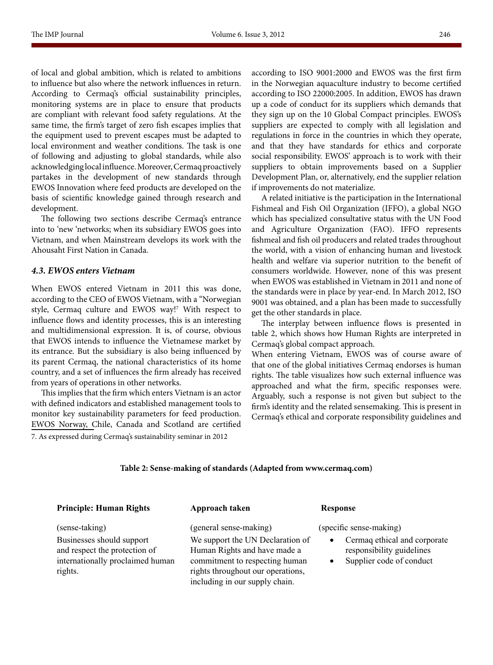of local and global ambition, which is related to ambitions to influence but also where the network influences in return. According to Cermaq's official sustainability principles, monitoring systems are in place to ensure that products are compliant with relevant food safety regulations. At the same time, the firm's target of zero fish escapes implies that the equipment used to prevent escapes must be adapted to local environment and weather conditions. The task is one of following and adjusting to global standards, while also acknowledging local influence. Moreover, Cermaq proactively partakes in the development of new standards through EWOS Innovation where feed products are developed on the basis of scientific knowledge gained through research and development.

The following two sections describe Cermaq's entrance into to 'new 'networks; when its subsidiary EWOS goes into Vietnam, and when Mainstream develops its work with the Ahousaht First Nation in Canada.

#### *4.3. EWOS enters Vietnam*

When EWOS entered Vietnam in 2011 this was done, according to the CEO of EWOS Vietnam, with a "Norwegian style, Cermaq culture and EWOS way!7 With respect to influence flows and identity processes, this is an interesting and multidimensional expression. It is, of course, obvious that EWOS intends to influence the Vietnamese market by its entrance. But the subsidiary is also being influenced by its parent Cermaq, the national characteristics of its home country, and a set of influences the firm already has received from years of operations in other networks.

This implies that the firm which enters Vietnam is an actor with defined indicators and established management tools to monitor key sustainability parameters for feed production. EWOS Norway, Chile, Canada and Scotland are certified 7. As expressed during Cermaq's sustainability seminar in 2012

according to ISO 9001:2000 and EWOS was the first firm in the Norwegian aquaculture industry to become certified according to ISO 22000:2005. In addition, EWOS has drawn up a code of conduct for its suppliers which demands that they sign up on the 10 Global Compact principles. EWOS's suppliers are expected to comply with all legislation and regulations in force in the countries in which they operate, and that they have standards for ethics and corporate social responsibility. EWOS' approach is to work with their suppliers to obtain improvements based on a Supplier Development Plan, or, alternatively, end the supplier relation if improvements do not materialize.

A related initiative is the participation in the International Fishmeal and Fish Oil Organization (IFFO), a global NGO which has specialized consultative status with the UN Food and Agriculture Organization (FAO). IFFO represents fishmeal and fish oil producers and related trades throughout the world, with a vision of enhancing human and livestock health and welfare via superior nutrition to the benefit of consumers worldwide. However, none of this was present when EWOS was established in Vietnam in 2011 and none of the standards were in place by year-end. In March 2012, ISO 9001 was obtained, and a plan has been made to successfully get the other standards in place.

The interplay between influence flows is presented in table 2, which shows how Human Rights are interpreted in Cermaq's global compact approach.

When entering Vietnam, EWOS was of course aware of that one of the global initiatives Cermaq endorses is human rights. The table visualizes how such external influence was approached and what the firm, specific responses were. Arguably, such a response is not given but subject to the firm's identity and the related sensemaking. This is present in Cermaq's ethical and corporate responsibility guidelines and

# **Table 2: Sense-making of standards (Adapted from www.cermaq.com)**

#### **Principle: Human Rights**

(sense-taking) Businesses should support and respect the protection of internationally proclaimed human rights.

**Approach taken**

(general sense-making) We support the UN Declaration of Human Rights and have made a commitment to respecting human rights throughout our operations, including in our supply chain.

#### **Response**

(specific sense-making)

- Cermaq ethical and corporate [responsibility guidelines](http://www.cermaq.com/portal/wps/wcm/connect/cermaqen/home/investor/corporategovernance/Ethical+and+corporate+responsibility+guidelines)
- [Supplier code of conduct](http://www.ewos.com/portal/wps/wcm/connect/ewoscom/com/frontpage/about_ewos/Code+of+conduct+for+suppliers)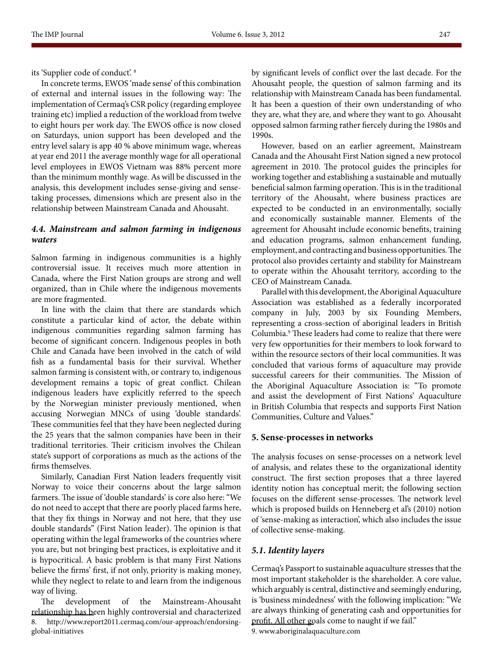In concrete terms, EWOS 'made sense' of this combination of external and internal issues in the following way: The implementation of Cermaq's CSR policy (regarding employee training etc) implied a reduction of the workload from twelve to eight hours per work day. The EWOS office is now closed on Saturdays, union support has been developed and the entry level salary is app 40 % above minimum wage, whereas at year end 2011 the average monthly wage for all operational level employees in EWOS Vietnam was 88% percent more than the minimum monthly wage. As will be discussed in the analysis, this development includes sense-giving and sensetaking processes, dimensions which are present also in the relationship between Mainstream Canada and Ahousaht.

# *4.4. Mainstream and salmon farming in indigenous waters*

Salmon farming in indigenous communities is a highly controversial issue. It receives much more attention in Canada, where the First Nation groups are strong and well organized, than in Chile where the indigenous movements are more fragmented.

In line with the claim that there are standards which constitute a particular kind of actor, the debate within indigenous communities regarding salmon farming has become of significant concern. Indigenous peoples in both Chile and Canada have been involved in the catch of wild fish as a fundamental basis for their survival. Whether salmon farming is consistent with, or contrary to, indigenous development remains a topic of great conflict. Chilean indigenous leaders have explicitly referred to the speech by the Norwegian minister previously mentioned, when accusing Norwegian MNCs of using 'double standards'. These communities feel that they have been neglected during the 25 years that the salmon companies have been in their traditional territories. Their criticism involves the Chilean state's support of corporations as much as the actions of the firms themselves.

Similarly, Canadian First Nation leaders frequently visit Norway to voice their concerns about the large salmon farmers. The issue of 'double standards' is core also here: "We do not need to accept that there are poorly placed farms here, that they fix things in Norway and not here, that they use double standards" (First Nation leader). The opinion is that operating within the legal frameworks of the countries where you are, but not bringing best practices, is exploitative and it is hypocritical. A basic problem is that many First Nations believe the firms' first, if not only, priority is making money, while they neglect to relate to and learn from the indigenous way of living.

The development of the Mainstream-Ahousaht relationship has been highly controversial and characterized 8. http://www.report2011.cermaq.com/our-approach/endorsingglobal-initiatives

by significant levels of conflict over the last decade. For the Ahousaht people, the question of salmon farming and its relationship with Mainstream Canada has been fundamental. It has been a question of their own understanding of who they are, what they are, and where they want to go. Ahousaht opposed salmon farming rather fiercely during the 1980s and 1990s.

However, based on an earlier agreement, Mainstream Canada and the Ahousaht First Nation signed a new protocol agreement in 2010. The protocol guides the principles for working together and establishing a sustainable and mutually beneficial salmon farming operation. This is in the traditional territory of the Ahousaht, where business practices are expected to be conducted in an environmentally, socially and economically sustainable manner. Elements of the agreement for Ahousaht include economic benefits, training and education programs, salmon enhancement funding, employment, and contracting and business opportunities. The protocol also provides certainty and stability for Mainstream to operate within the Ahousaht territory, according to the CEO of Mainstream Canada.

Parallel with this development, the Aboriginal Aquaculture Association was established as a federally incorporated company in July, 2003 by six Founding Members, representing a cross-section of aboriginal leaders in British Columbia.<sup>9</sup> These leaders had come to realize that there were very few opportunities for their members to look forward to within the resource sectors of their local communities. It was concluded that various forms of aquaculture may provide successful careers for their communities. The Mission of the Aboriginal Aquaculture Association is: "To promote and assist the development of First Nations' Aquaculture in British Columbia that respects and supports First Nation Communities, Culture and Values."

#### **5. Sense-processes in networks**

The analysis focuses on sense-processes on a network level of analysis, and relates these to the organizational identity construct. The first section proposes that a three layered identity notion has conceptual merit; the following section focuses on the different sense-processes. The network level which is proposed builds on Henneberg et al's (2010) notion of 'sense-making as interaction', which also includes the issue of collective sense-making.

#### *5.1. Identity layers*

Cermaq's Passport to sustainable aquaculture stresses that the most important stakeholder is the shareholder. A core value, which arguably is central, distinctive and seemingly enduring, is 'business mindedness' with the following implication: "We are always thinking of generating cash and opportunities for profit. All other goals come to naught if we fail."

9. www.aboriginalaquaculture.com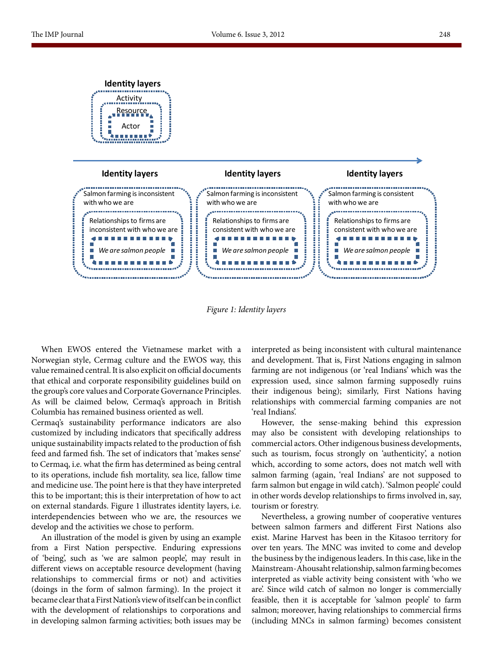

*Figure 1: Identity layers*

When EWOS entered the Vietnamese market with a Norwegian style, Cermag culture and the EWOS way, this value remained central. It is also explicit on official documents that ethical and corporate responsibility guidelines build on the group's core values and Corporate Governance Principles. As will be claimed below, Cermaq's approach in British Columbia has remained business oriented as well.

**Identity layers**

Cermaq's sustainability performance indicators are also customized by including indicators that specifically address unique sustainability impacts related to the production of fish feed and farmed fish. The set of indicators that 'makes sense' to Cermaq, i.e. what the firm has determined as being central to its operations, include fish mortality, sea lice, fallow time and medicine use. The point here is that they have interpreted this to be important; this is their interpretation of how to act on external standards. Figure 1 illustrates identity layers, i.e. interdependencies between who we are, the resources we develop and the activities we chose to perform.

An illustration of the model is given by using an example from a First Nation perspective. Enduring expressions of 'being', such as 'we are salmon people', may result in different views on acceptable resource development (having relationships to commercial firms or not) and activities (doings in the form of salmon farming). In the project it became clear that a First Nation's view of itself can be in conflict with the development of relationships to corporations and in developing salmon farming activities; both issues may be interpreted as being inconsistent with cultural maintenance and development. That is, First Nations engaging in salmon farming are not indigenous (or 'real Indians' which was the expression used, since salmon farming supposedly ruins their indigenous being); similarly, First Nations having relationships with commercial farming companies are not 'real Indians'.

However, the sense-making behind this expression may also be consistent with developing relationships to commercial actors. Other indigenous business developments, such as tourism, focus strongly on 'authenticity', a notion which, according to some actors, does not match well with salmon farming (again, 'real Indians' are not supposed to farm salmon but engage in wild catch). 'Salmon people' could in other words develop relationships to firms involved in, say, tourism or forestry.

Nevertheless, a growing number of cooperative ventures between salmon farmers and different First Nations also exist. Marine Harvest has been in the Kitasoo territory for over ten years. The MNC was invited to come and develop the business by the indigenous leaders. In this case, like in the Mainstream-Ahousaht relationship, salmon farming becomes interpreted as viable activity being consistent with 'who we are'. Since wild catch of salmon no longer is commercially feasible, then it is acceptable for 'salmon people' to farm salmon; moreover, having relationships to commercial firms (including MNCs in salmon farming) becomes consistent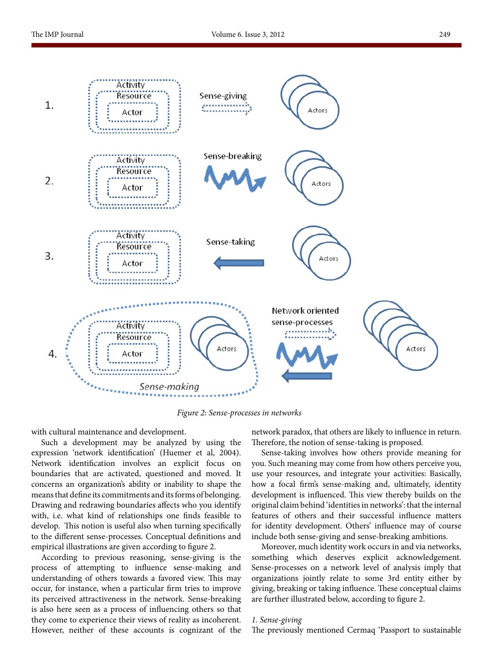

*Figure 2: Sense-processes in networks*

with cultural maintenance and development.

Such a development may be analyzed by using the expression 'network identification' (Huemer et al, 2004). Network identification involves an explicit focus on boundaries that are activated, questioned and moved. It concerns an organization's ability or inability to shape the means that define its commitments and its forms of belonging. Drawing and redrawing boundaries affects who you identify with, i.e. what kind of relationships one finds feasible to develop. This notion is useful also when turning specifically to the different sense-processes. Conceptual definitions and empirical illustrations are given according to figure 2.

According to previous reasoning, sense-giving is the process of attempting to influence sense-making and understanding of others towards a favored view. This may occur, for instance, when a particular firm tries to improve its perceived attractiveness in the network. Sense-breaking is also here seen as a process of influencing others so that they come to experience their views of reality as incoherent. However, neither of these accounts is cognizant of the network paradox, that others are likely to influence in return. Therefore, the notion of sense-taking is proposed.

Sense-taking involves how others provide meaning for you. Such meaning may come from how others perceive you, use your resources, and integrate your activities: Basically, how a focal firm's sense-making and, ultimately, identity development is influenced. This view thereby builds on the original claim behind 'identities in networks': that the internal features of others and their successful influence matters for identity development. Others' influence may of course include both sense-giving and sense-breaking ambitions.

Moreover, much identity work occurs in and via networks, something which deserves explicit acknowledgement. Sense-processes on a network level of analysis imply that organizations jointly relate to some 3rd entity either by giving, breaking or taking influence. These conceptual claims are further illustrated below, according to figure 2.

#### *1. Sense-giving*

The previously mentioned Cermaq 'Passport to sustainable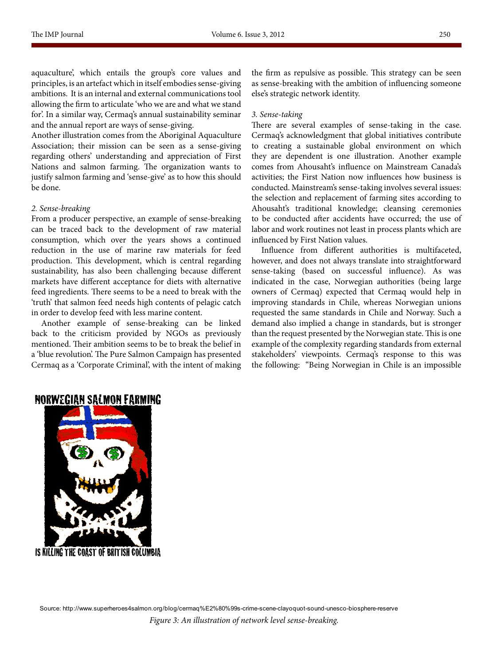aquaculture', which entails the group's core values and principles, is an artefact which in itself embodies sense-giving ambitions. It is an internal and external communications tool allowing the firm to articulate 'who we are and what we stand for'. In a similar way, Cermaq's annual sustainability seminar and the annual report are ways of sense-giving.

Another illustration comes from the Aboriginal Aquaculture Association; their mission can be seen as a sense-giving regarding others' understanding and appreciation of First Nations and salmon farming. The organization wants to justify salmon farming and 'sense-give' as to how this should be done.

# *2. Sense-breaking*

From a producer perspective, an example of sense-breaking can be traced back to the development of raw material consumption, which over the years shows a continued reduction in the use of marine raw materials for feed production. This development, which is central regarding sustainability, has also been challenging because different markets have different acceptance for diets with alternative feed ingredients. There seems to be a need to break with the 'truth' that salmon feed needs high contents of pelagic catch in order to develop feed with less marine content.

Another example of sense-breaking can be linked back to the criticism provided by NGOs as previously mentioned. Their ambition seems to be to break the belief in a 'blue revolution'. The Pure Salmon Campaign has presented Cermaq as a 'Corporate Criminal', with the intent of making the firm as repulsive as possible. This strategy can be seen as sense-breaking with the ambition of influencing someone else's strategic network identity.

### *3. Sense-taking*

There are several examples of sense-taking in the case. Cermaq's acknowledgment that global initiatives contribute to creating a sustainable global environment on which they are dependent is one illustration. Another example comes from Ahousaht's influence on Mainstream Canada's activities; the First Nation now influences how business is conducted. Mainstream's sense-taking involves several issues: the selection and replacement of farming sites according to Ahousaht's traditional knowledge; cleansing ceremonies to be conducted after accidents have occurred; the use of labor and work routines not least in process plants which are influenced by First Nation values.

Influence from different authorities is multifaceted, however, and does not always translate into straightforward sense-taking (based on successful influence). As was indicated in the case, Norwegian authorities (being large owners of Cermaq) expected that Cermaq would help in improving standards in Chile, whereas Norwegian unions requested the same standards in Chile and Norway. Such a demand also implied a change in standards, but is stronger than the request presented by the Norwegian state. This is one example of the complexity regarding standards from external stakeholders' viewpoints. Cermaq's response to this was the following: "Being Norwegian in Chile is an impossible

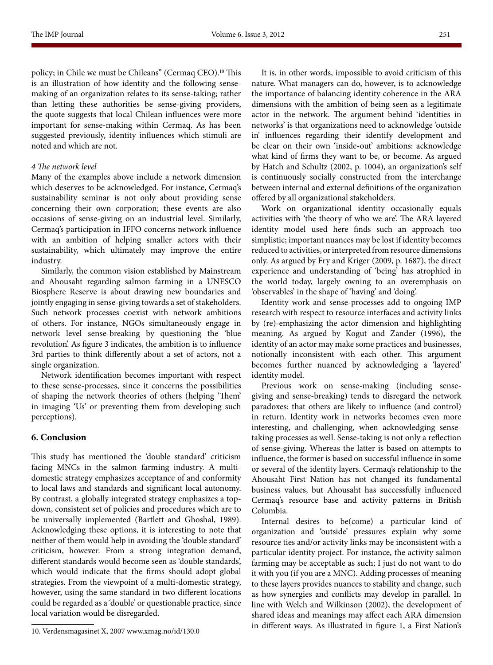policy; in Chile we must be Chileans" (Cermaq CEO).<sup>10</sup> This is an illustration of how identity and the following sensemaking of an organization relates to its sense-taking; rather than letting these authorities be sense-giving providers, the quote suggests that local Chilean influences were more important for sense-making within Cermaq. As has been suggested previously, identity influences which stimuli are noted and which are not.

# *4 The network level*

Many of the examples above include a network dimension which deserves to be acknowledged. For instance, Cermaq's sustainability seminar is not only about providing sense concerning their own corporation; these events are also occasions of sense-giving on an industrial level. Similarly, Cermaq's participation in IFFO concerns network influence with an ambition of helping smaller actors with their sustainability, which ultimately may improve the entire industry.

Similarly, the common vision established by Mainstream and Ahousaht regarding salmon farming in a UNESCO Biosphere Reserve is about drawing new boundaries and jointly engaging in sense-giving towards a set of stakeholders. Such network processes coexist with network ambitions of others. For instance, NGOs simultaneously engage in network level sense-breaking by questioning the 'blue revolution'. As figure 3 indicates, the ambition is to influence 3rd parties to think differently about a set of actors, not a single organization.

Network identification becomes important with respect to these sense-processes, since it concerns the possibilities of shaping the network theories of others (helping 'Them' in imaging 'Us' or preventing them from developing such perceptions).

# **6. Conclusion**

This study has mentioned the 'double standard' criticism facing MNCs in the salmon farming industry. A multidomestic strategy emphasizes acceptance of and conformity to local laws and standards and significant local autonomy. By contrast, a globally integrated strategy emphasizes a topdown, consistent set of policies and procedures which are to be universally implemented (Bartlett and Ghoshal, 1989). Acknowledging these options, it is interesting to note that neither of them would help in avoiding the 'double standard' criticism, however. From a strong integration demand, different standards would become seen as 'double standards', which would indicate that the firms should adopt global strategies. From the viewpoint of a multi-domestic strategy, however, using the same standard in two different locations could be regarded as a 'double' or questionable practice, since local variation would be disregarded.

10. Verdensmagasinet X, 2007 www.xmag.no/id/130.0

It is, in other words, impossible to avoid criticism of this nature. What managers can do, however, is to acknowledge the importance of balancing identity coherence in the ARA dimensions with the ambition of being seen as a legitimate actor in the network. The argument behind 'identities in networks' is that organizations need to acknowledge 'outside in' influences regarding their identify development and be clear on their own 'inside-out' ambitions: acknowledge what kind of firms they want to be, or become. As argued by Hatch and Schultz (2002, p. 1004), an organization's self is continuously socially constructed from the interchange between internal and external definitions of the organization offered by all organizational stakeholders.

Work on organizational identity occasionally equals activities with 'the theory of who we are'. The ARA layered identity model used here finds such an approach too simplistic; important nuances may be lost if identity becomes reduced to activities, or interpreted from resource dimensions only. As argued by Fry and Kriger (2009, p. 1687), the direct experience and understanding of 'being' has atrophied in the world today, largely owning to an overemphasis on 'observables' in the shape of 'having' and 'doing'.

Identity work and sense-processes add to ongoing IMP research with respect to resource interfaces and activity links by (re)-emphasizing the actor dimension and highlighting meaning. As argued by Kogut and Zander (1996), the identity of an actor may make some practices and businesses, notionally inconsistent with each other. This argument becomes further nuanced by acknowledging a 'layered' identity model.

Previous work on sense-making (including sensegiving and sense-breaking) tends to disregard the network paradoxes: that others are likely to influence (and control) in return. Identity work in networks becomes even more interesting, and challenging, when acknowledging sensetaking processes as well. Sense-taking is not only a reflection of sense-giving. Whereas the latter is based on attempts to influence, the former is based on successful influence in some or several of the identity layers. Cermaq's relationship to the Ahousaht First Nation has not changed its fundamental business values, but Ahousaht has successfully influenced Cermaq's resource base and activity patterns in British Columbia.

Internal desires to be(come) a particular kind of organization and 'outside' pressures explain why some resource ties and/or activity links may be inconsistent with a particular identity project. For instance, the activity salmon farming may be acceptable as such; I just do not want to do it with you (if you are a MNC). Adding processes of meaning to these layers provides nuances to stability and change, such as how synergies and conflicts may develop in parallel. In line with Welch and Wilkinson (2002), the development of shared ideas and meanings may affect each ARA dimension in different ways. As illustrated in figure 1, a First Nation's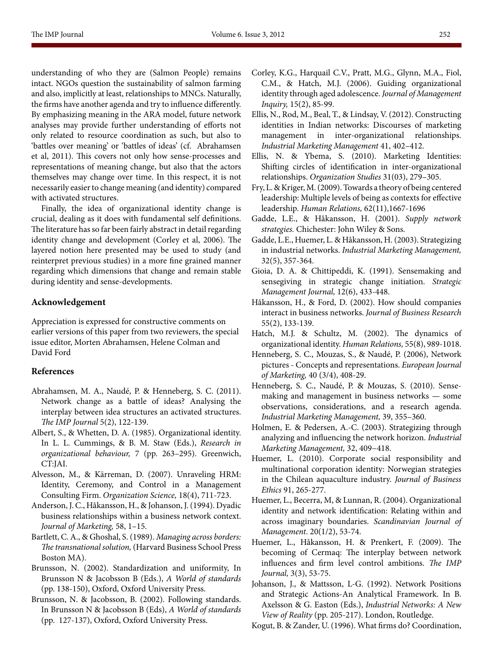understanding of who they are (Salmon People) remains intact. NGOs question the sustainability of salmon farming and also, implicitly at least, relationships to MNCs. Naturally, the firms have another agenda and try to influence differently. By emphasizing meaning in the ARA model, future network analyses may provide further understanding of efforts not only related to resource coordination as such, but also to 'battles over meaning' or 'battles of ideas' (cf. Abrahamsen et al, 2011). This covers not only how sense-processes and representations of meaning change, but also that the actors themselves may change over time. In this respect, it is not necessarily easier to change meaning (and identity) compared with activated structures.

Finally, the idea of organizational identity change is crucial, dealing as it does with fundamental self definitions. The literature has so far been fairly abstract in detail regarding identity change and development (Corley et al, 2006). The layered notion here presented may be used to study (and reinterpret previous studies) in a more fine grained manner regarding which dimensions that change and remain stable during identity and sense-developments.

# **Acknowledgement**

Appreciation is expressed for constructive comments on earlier versions of this paper from two reviewers, the special issue editor, Morten Abrahamsen, Helene Colman and David Ford

# **References**

- Abrahamsen, M. A., Naudé, P. & Henneberg, S. C. (2011). Network change as a battle of ideas? Analysing the interplay between idea structures an activated structures. *The IMP Journal* 5(2), 122-139.
- Albert, S., & Whetten, D. A. (1985). Organizational identity. In L. L. Cummings, & B. M. Staw (Eds.), *Research in organizational behaviour,* 7 (pp. 263–295). Greenwich, CT:JAI.
- Alvesson, M., & Kärreman, D. (2007). Unraveling HRM: Identity, Ceremony, and Control in a Management Consulting Firm. *Organization Science,* 18(4), 711-723.
- Anderson, J. C., Håkansson, H., & Johanson, J. (1994). Dyadic business relationships within a business network context. *Journal of Marketing,* 58, 1–15.
- Bartlett, C. A., & Ghoshal, S. (1989). *Managing across borders: The transnational solution,* (Harvard Business School Press Boston MA).
- Brunsson, N. (2002). Standardization and uniformity, In Brunsson N & Jacobsson B (Eds.), *A World of standards* (pp. 138-150), Oxford, Oxford University Press.
- Brunsson, N. & Jacobsson, B. (2002). Following standards. In Brunsson N & Jacobsson B (Eds), *A World of standards* (pp. 127-137), Oxford, Oxford University Press.
- Corley, K.G., Harquail C.V., Pratt, M.G., Glynn, M.A., Fiol, C.M., & Hatch, M.J. (2006). Guiding organizational identity through aged adolescence. *Journal of Management Inquiry,* 15(2), 85-99.
- Ellis, N., Rod, M., Beal, T., & Lindsay, V. (2012). Constructing identities in Indian networks: Discourses of marketing management in inter-organizational relationships. *Industrial Marketing Management* 41, 402–412.
- Ellis, N. & Ybema, S. (2010). Marketing Identities: Shifting circles of identification in inter-organizational relationships. *Organization Studies* 31(03), 279–305.
- Fry, L. & Kriger, M. (2009). Towards a theory of being centered leadership: Multiple levels of being as contexts for effective leadership. *Human Relations,* 62(11),1667-1696
- Gadde, L.E., & Håkansson, H. (2001). *Supply network strategies.* Chichester: John Wiley & Sons.
- Gadde, L.E., Huemer, L. & Håkansson, H. (2003). Strategizing in industrial networks. *Industrial Marketing Management,* 32(5), 357-364.
- Gioia, D. A. & Chittipeddi, K. (1991). Sensemaking and sensegiving in strategic change initiation. *Strategic Management Journal,* 12(6), 433-448.
- Håkansson, H., & Ford, D. (2002). How should companies interact in business networks. *Journal of Business Research* 55(2), 133-139.
- Hatch, M.J. & Schultz, M. (2002). The dynamics of organizational identity. *Human Relations,* 55(8), 989-1018.
- Henneberg, S. C., Mouzas, S., & Naudé, P. (2006), Network pictures - Concepts and representations. *European Journal of Marketing,* 40 (3/4), 408-29.
- Henneberg, S. C., Naudé, P. & Mouzas, S. (2010). Sensemaking and management in business networks — some observations, considerations, and a research agenda. *Industrial Marketing Management,* 39, 355–360.
- Holmen, E. & Pedersen, A.-C. (2003). Strategizing through analyzing and influencing the network horizon. *Industrial Marketing Management,* 32, 409−418.
- Huemer, L. (2010). Corporate social responsibility and multinational corporation identity: Norwegian strategies in the Chilean aquaculture industry. *Journal of Business Ethics* 91, 265-277.
- Huemer, L., Becerra, M, & Lunnan, R. (2004). Organizational identity and network identification: Relating within and across imaginary boundaries. *Scandinavian Journal of Management*. 20(1/2), 53-74.
- Huemer, L., Håkansson, H. & Prenkert, F. (2009). The becoming of Cermaq: The interplay between network influences and firm level control ambitions. *The IMP Journal,* 3(3), 53-75.
- Johanson, J., & Mattsson, L-G. (1992). Network Positions and Strategic Actions-An Analytical Framework. In B. Axelsson & G. Easton (Eds.), *Industrial Networks: A New View of Reality* (pp. 205-217). London, Routledge.
- Kogut, B. & Zander, U. (1996). What firms do? Coordination,